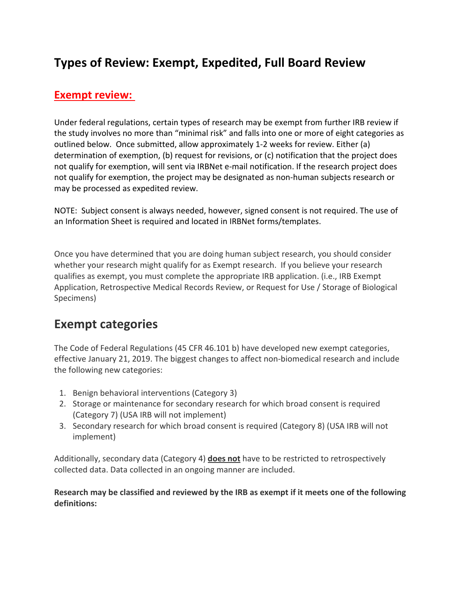# **Types of Review: Exempt, Expedited, Full Board Review**

### **Exempt review:**

 outlined below. Once submitted, allow approximately 1-2 weeks for review. Either (a) Under federal regulations, certain types of research may be exempt from further IRB review if the study involves no more than "minimal risk" and falls into one or more of eight categories as determination of exemption, (b) request for revisions, or (c) notification that the project does not qualify for exemption, will sent via IRBNet e-mail notification. If the research project does not qualify for exemption, the project may be designated as non-human subjects research or may be processed as expedited review.

NOTE: Subject consent is always needed, however, signed consent is not required. The use of an Information Sheet is required and located in IRBNet forms/templates.

 whether your research might qualify for as Exempt research. If you believe your research Once you have determined that you are doing human subject research, you should consider qualifies as exempt, you must complete the appropriate IRB application. (i.e., IRB Exempt Application, Retrospective Medical Records Review, or Request for Use / Storage of Biological Specimens)

# **Exempt categories**

 effective January 21, 2019. The biggest changes to affect non-biomedical research and include The Code of Federal Regulations (45 CFR 46.101 b) have developed new exempt categories, the following new categories:

- 1. Benign behavioral interventions (Category 3)
- 2. Storage or maintenance for secondary research for which broad consent is required (Category 7) (USA IRB will not implement)
- 3. Secondary research for which broad consent is required (Category 8) (USA IRB will not implement)

Additionally, secondary data (Category 4) **does not** have to be restricted to retrospectively collected data. Data collected in an ongoing manner are included.

#### **Research may be classified and reviewed by the IRB as exempt if it meets one of the following definitions:**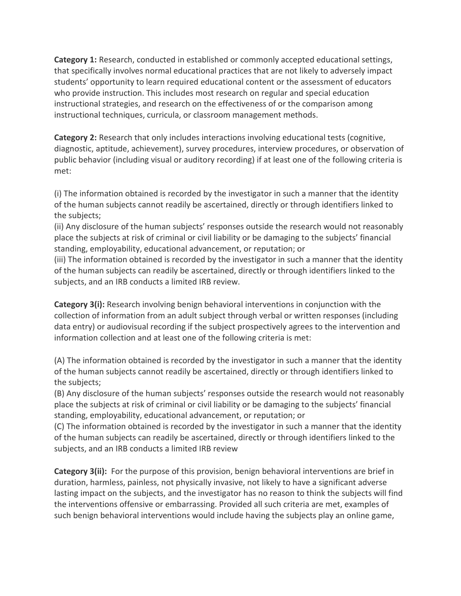students' opportunity to learn required educational content or the assessment of educators instructional strategies, and research on the effectiveness of or the comparison among **Category 1:** Research, conducted in established or commonly accepted educational settings, that specifically involves normal educational practices that are not likely to adversely impact who provide instruction. This includes most research on regular and special education instructional techniques, curricula, or classroom management methods.

**Category 2:** Research that only includes interactions involving educational tests (cognitive, diagnostic, aptitude, achievement), survey procedures, interview procedures, or observation of public behavior (including visual or auditory recording) if at least one of the following criteria is met:

 of the human subjects cannot readily be ascertained, directly or through identifiers linked to (i) The information obtained is recorded by the investigator in such a manner that the identity the subjects;

(ii) Any disclosure of the human subjects' responses outside the research would not reasonably place the subjects at risk of criminal or civil liability or be damaging to the subjects' financial standing, employability, educational advancement, or reputation; or

 of the human subjects can readily be ascertained, directly or through identifiers linked to the (iii) The information obtained is recorded by the investigator in such a manner that the identity subjects, and an IRB conducts a limited IRB review.

**Category 3(i):** Research involving benign behavioral interventions in conjunction with the collection of information from an adult subject through verbal or written responses (including data entry) or audiovisual recording if the subject prospectively agrees to the intervention and information collection and at least one of the following criteria is met:

 of the human subjects cannot readily be ascertained, directly or through identifiers linked to (A) The information obtained is recorded by the investigator in such a manner that the identity the subjects;

(B) Any disclosure of the human subjects' responses outside the research would not reasonably place the subjects at risk of criminal or civil liability or be damaging to the subjects' financial standing, employability, educational advancement, or reputation; or

 of the human subjects can readily be ascertained, directly or through identifiers linked to the (C) The information obtained is recorded by the investigator in such a manner that the identity subjects, and an IRB conducts a limited IRB review

 **Category 3(ii):** For the purpose of this provision, benign behavioral interventions are brief in duration, harmless, painless, not physically invasive, not likely to have a significant adverse lasting impact on the subjects, and the investigator has no reason to think the subjects will find the interventions offensive or embarrassing. Provided all such criteria are met, examples of such benign behavioral interventions would include having the subjects play an online game,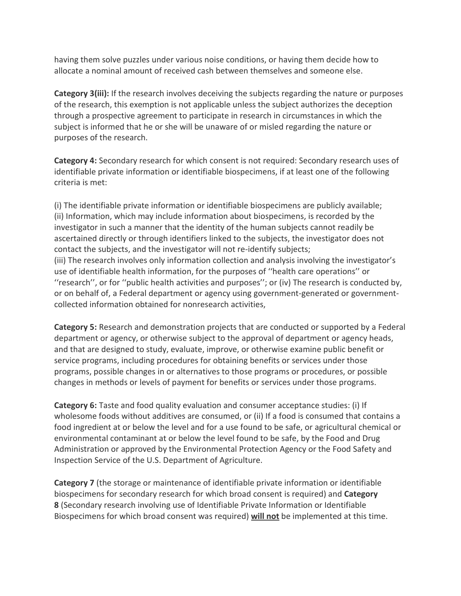having them solve puzzles under various noise conditions, or having them decide how to allocate a nominal amount of received cash between themselves and someone else.

 of the research, this exemption is not applicable unless the subject authorizes the deception through a prospective agreement to participate in research in circumstances in which the **Category 3(iii):** If the research involves deceiving the subjects regarding the nature or purposes subject is informed that he or she will be unaware of or misled regarding the nature or purposes of the research.

**Category 4:** Secondary research for which consent is not required: Secondary research uses of identifiable private information or identifiable biospecimens, if at least one of the following criteria is met:

 (i) The identifiable private information or identifiable biospecimens are publicly available; (ii) Information, which may include information about biospecimens, is recorded by the investigator in such a manner that the identity of the human subjects cannot readily be ascertained directly or through identifiers linked to the subjects, the investigator does not contact the subjects, and the investigator will not re-identify subjects; (iii) The research involves only information collection and analysis involving the investigator's use of identifiable health information, for the purposes of ''health care operations'' or ''research'', or for ''public health activities and purposes''; or (iv) The research is conducted by, or on behalf of, a Federal department or agency using government-generated or governmentcollected information obtained for nonresearch activities,

 department or agency, or otherwise subject to the approval of department or agency heads, and that are designed to study, evaluate, improve, or otherwise examine public benefit or changes in methods or levels of payment for benefits or services under those programs. **Category 5:** Research and demonstration projects that are conducted or supported by a Federal service programs, including procedures for obtaining benefits or services under those programs, possible changes in or alternatives to those programs or procedures, or possible

 **Category 6:** Taste and food quality evaluation and consumer acceptance studies: (i) If environmental contaminant at or below the level found to be safe, by the Food and Drug wholesome foods without additives are consumed, or (ii) If a food is consumed that contains a food ingredient at or below the level and for a use found to be safe, or agricultural chemical or Administration or approved by the Environmental Protection Agency or the Food Safety and Inspection Service of the U.S. Department of Agriculture.

 biospecimens for secondary research for which broad consent is required) and **Category Category 7** (the storage or maintenance of identifiable private information or identifiable **8** (Secondary research involving use of Identifiable Private Information or Identifiable Biospecimens for which broad consent was required) **will not** be implemented at this time.